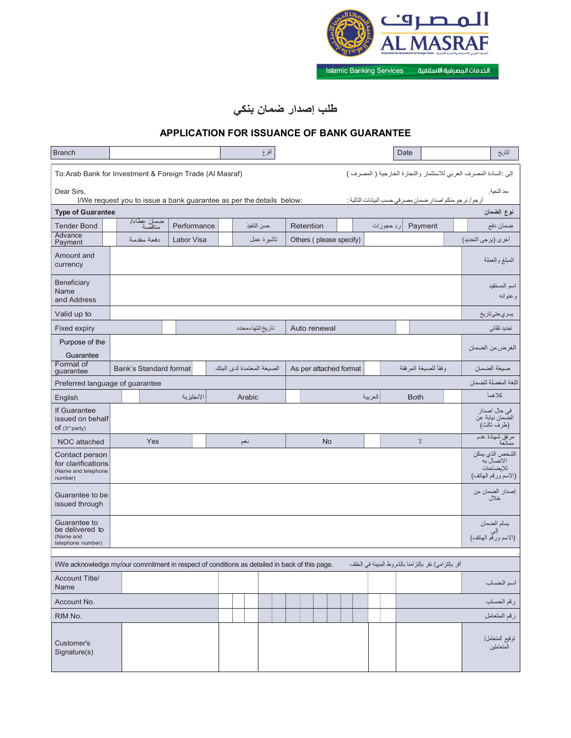

الخدمات المصرفية الاسلامية Islamic Banking Services

## طلب إصدار ضمان بنكي

## APPLICATION FOR ISSUANCE OF BANK GUARANTEE

| <b>Branch</b>                                                                                 |                                                                      |  |             |  |  |                           | الفرع       |  |  |              |           |  |                         |         |           | Date        |                                                     | التاريخ                                                                 |
|-----------------------------------------------------------------------------------------------|----------------------------------------------------------------------|--|-------------|--|--|---------------------------|-------------|--|--|--------------|-----------|--|-------------------------|---------|-----------|-------------|-----------------------------------------------------|-------------------------------------------------------------------------|
| To: Arab Bank for Investment & Foreign Trade (Al Masraf)                                      |                                                                      |  |             |  |  |                           |             |  |  |              |           |  |                         |         |           |             |                                                     | إلى :السادة المصرف العربي للاستثمار والتجارة الخارجية ( المصرف )        |
| Dear Sirs,                                                                                    | I/We request you to issue a bank guarantee as per the details below: |  |             |  |  |                           |             |  |  |              |           |  |                         |         |           |             |                                                     | بعد التحية.<br>أرجو/ نرجو منكم اصدار ضمان مصر في حسب البيانات التالية : |
| <b>Type of Guarantee</b>                                                                      |                                                                      |  |             |  |  |                           |             |  |  |              |           |  |                         |         |           |             |                                                     | نوع الضمان                                                              |
| <b>Tender Bond</b>                                                                            | ضمان عطاء/<br>مناقصة                                                 |  | Performance |  |  |                           | حسن التنفيذ |  |  | Retention    |           |  |                         |         | رد حجوزات |             | Payment                                             | ضمان دفع                                                                |
| Advance<br>Payment                                                                            | دفعة مقدمة                                                           |  | Labor Visa  |  |  |                           | تأشيرة عمل  |  |  |              |           |  | Others (please specify) |         |           |             |                                                     | أخرى (برجى التحديد)                                                     |
| Amount and<br>currency                                                                        |                                                                      |  |             |  |  |                           |             |  |  |              |           |  |                         |         |           |             |                                                     | المبلغ والعملة                                                          |
| Beneficiary<br>Name<br>and Address                                                            |                                                                      |  |             |  |  |                           |             |  |  |              |           |  |                         |         |           |             |                                                     | اسم المستفيد<br>وعنوانه                                                 |
| Valid up to                                                                                   |                                                                      |  |             |  |  |                           |             |  |  |              |           |  |                         |         |           |             |                                                     | بسري حتى تاريخ                                                          |
| Fixed expiry                                                                                  |                                                                      |  |             |  |  | تاريخ انتهاءمحدد          |             |  |  | Auto renewal |           |  |                         |         |           |             |                                                     | تجديد تلقائي                                                            |
| Purpose of the<br>Guarantee                                                                   |                                                                      |  |             |  |  |                           |             |  |  |              |           |  |                         |         |           |             |                                                     | الغرضءن الضمان                                                          |
| Format of<br>guarantee                                                                        | Bank's Standard format                                               |  |             |  |  | الصبغة المعتمدة لدى البنك |             |  |  |              |           |  | As per attached format  |         |           |             | وفقأ للصيغة المرفقة                                 | صيغة الضمان                                                             |
| Preferred language of guarantee                                                               |                                                                      |  |             |  |  |                           |             |  |  |              |           |  |                         |         |           |             |                                                     | اللغة المفضلة للضمان                                                    |
| English                                                                                       |                                                                      |  | الإنجليزية  |  |  | Arabic                    |             |  |  |              |           |  |                         | العربية |           | <b>Both</b> |                                                     | كلاهما                                                                  |
| If Guarantee<br>issued on behalf<br>$of (3^{rd}$ party)                                       |                                                                      |  |             |  |  |                           |             |  |  |              |           |  |                         |         |           |             |                                                     | في حال اصدار<br>الصمان نيابة عن<br>(طرف ثالث)                           |
| NOC attached                                                                                  | Yes                                                                  |  |             |  |  | نعم                       |             |  |  |              | <b>No</b> |  |                         |         |           |             | $\mathbf{\hat{y}}$                                  | مرفق شهادة عدم<br>ممانعة                                                |
| Contact person<br>for clarifications<br>(Name and telephone<br>number)                        |                                                                      |  |             |  |  |                           |             |  |  |              |           |  |                         |         |           |             |                                                     | الشخص الذي يمكن<br>الاتصال به<br>للإيضاحات<br>(الاسمُ ورقم المهاتف)     |
| Guarantee to be<br>issued through                                                             |                                                                      |  |             |  |  |                           |             |  |  |              |           |  |                         |         |           |             |                                                     | إصدار الضمان من<br>خلال                                                 |
| Guarantee to<br>be delivered to<br>(Name and<br>telephone number)                             | يسلم الضمان<br>(الاسم ورقّم المهاتف)                                 |  |             |  |  |                           |             |  |  |              |           |  |                         |         |           |             |                                                     |                                                                         |
| I/We acknowledge my/our commitment in respect of conditions as detailed in back of this page. |                                                                      |  |             |  |  |                           |             |  |  |              |           |  |                         |         |           |             | أقر بالتزامي/نقر بالتزامنا بالشروط المبينة في الخلف |                                                                         |
| Account Title/<br>Name                                                                        |                                                                      |  |             |  |  |                           |             |  |  |              |           |  |                         |         |           |             |                                                     | اسم الحساب                                                              |
| Account No.                                                                                   |                                                                      |  |             |  |  |                           |             |  |  |              |           |  |                         |         |           |             |                                                     | رقم الحساب                                                              |
| RIM No.                                                                                       |                                                                      |  |             |  |  |                           |             |  |  |              |           |  |                         |         |           |             |                                                     | رقم المتعامل                                                            |
| Customer's<br>Signature(s)                                                                    |                                                                      |  |             |  |  |                           |             |  |  |              |           |  |                         |         |           |             |                                                     | نوقيع المنعامل/<br>المتعاملين                                           |